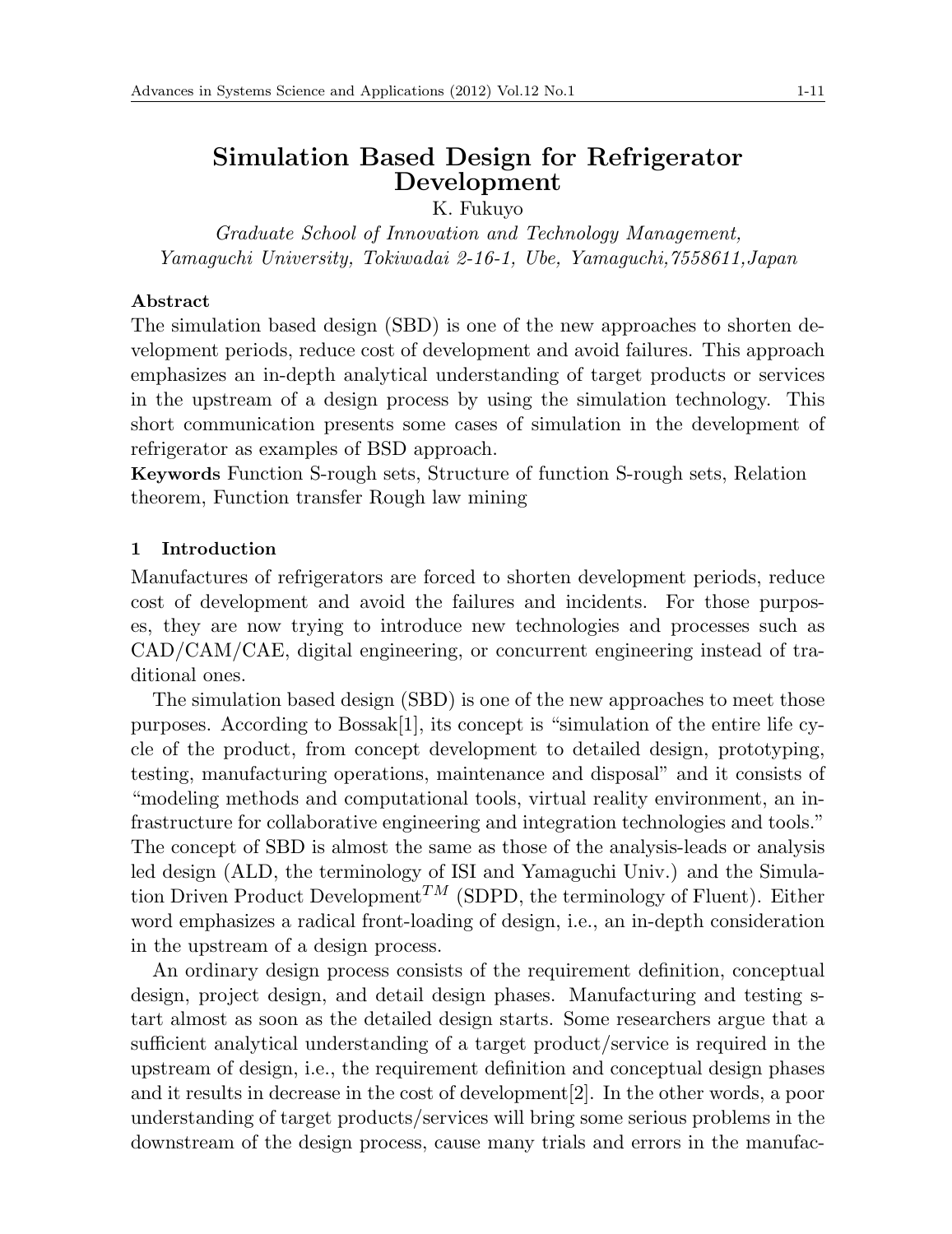# **Simulation Based Design for Refrigerator Development**

K. Fukuyo

*Graduate School of Innovation and Technology Management, Yamaguchi University, Tokiwadai 2-16-1, Ube, Yamaguchi,7558611,Japan*

## **Abstract**

The simulation based design (SBD) is one of the new approaches to shorten development periods, reduce cost of development and avoid failures. This approach emphasizes an in-depth analytical understanding of target products or services in the upstream of a design process by using the simulation technology. This short communication presents some cases of simulation in the development of refrigerator as examples of BSD approach.

**Keywords** Function S-rough sets, Structure of function S-rough sets, Relation theorem, Function transfer Rough law mining

## **1 Introduction**

Manufactures of refrigerators are forced to shorten development periods, reduce cost of development and avoid the failures and incidents. For those purposes, they are now trying to introduce new technologies and processes such as CAD/CAM/CAE, digital engineering, or concurrent engineering instead of traditional ones.

The simulation based design (SBD) is one of the new approaches to meet those purposes. According to  $Bosash[1]$ , its concept is "simulation of the entire life cycle of the product, from concept development to detailed design, prototyping, testing, manufacturing operations, maintenance and disposal" and it consists of "modeling methods and computational tools, virtual reality environment, an infrastructure for collaborative engineering and integration technologies and tools." The concept of SBD is almost the same as those of the analysis-leads or analysis led design (ALD, the terminology of ISI and Yamaguchi Univ.) and the Simulation Driven Product Development<sup>TM</sup> (SDPD, the terminology of Fluent). Either word emphasizes a radical front-loading of design, i.e., an in-depth consideration in the upstream of a design process.

An ordinary design process consists of the requirement definition, conceptual design, project design, and detail design phases. Manufacturing and testing start almost as soon as the detailed design starts. Some researchers argue that a sufficient analytical understanding of a target product/service is required in the upstream of design, i.e., the requirement definition and conceptual design phases and it results in decrease in the cost of development[2]. In the other words, a poor understanding of target products/services will bring some serious problems in the downstream of the design process, cause many trials and errors in the manufac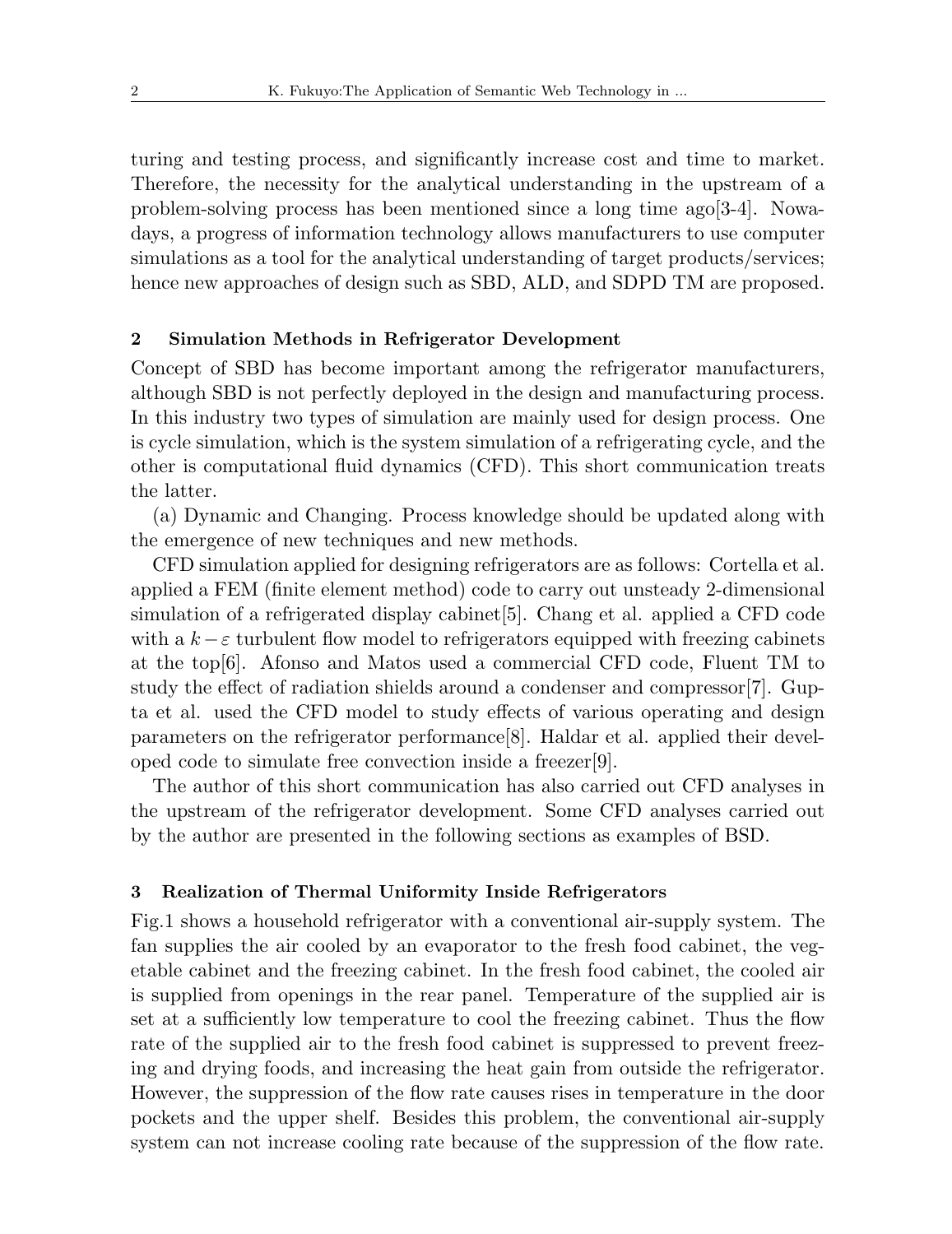turing and testing process, and significantly increase cost and time to market. Therefore, the necessity for the analytical understanding in the upstream of a problem-solving process has been mentioned since a long time ago[3-4]. Nowadays, a progress of information technology allows manufacturers to use computer simulations as a tool for the analytical understanding of target products/services: hence new approaches of design such as SBD, ALD, and SDPD TM are proposed.

## **2 Simulation Methods in Refrigerator Development**

Concept of SBD has become important among the refrigerator manufacturers, although SBD is not perfectly deployed in the design and manufacturing process. In this industry two types of simulation are mainly used for design process. One is cycle simulation, which is the system simulation of a refrigerating cycle, and the other is computational fluid dynamics (CFD). This short communication treats the latter.

(a) Dynamic and Changing. Process knowledge should be updated along with the emergence of new techniques and new methods.

CFD simulation applied for designing refrigerators are as follows: Cortella et al. applied a FEM (finite element method) code to carry out unsteady 2-dimensional simulation of a refrigerated display cabinet[5]. Chang et al. applied a CFD code with a  $k - \varepsilon$  turbulent flow model to refrigerators equipped with freezing cabinets at the top[6]. Afonso and Matos used a commercial CFD code, Fluent TM to study the effect of radiation shields around a condenser and compressor[7]. Gupta et al. used the CFD model to study effects of various operating and design parameters on the refrigerator performance[8]. Haldar et al. applied their developed code to simulate free convection inside a freezer[9].

The author of this short communication has also carried out CFD analyses in the upstream of the refrigerator development. Some CFD analyses carried out by the author are presented in the following sections as examples of BSD.

#### **3 Realization of Thermal Uniformity Inside Refrigerators**

Fig.1 shows a household refrigerator with a conventional air-supply system. The fan supplies the air cooled by an evaporator to the fresh food cabinet, the vegetable cabinet and the freezing cabinet. In the fresh food cabinet, the cooled air is supplied from openings in the rear panel. Temperature of the supplied air is set at a sufficiently low temperature to cool the freezing cabinet. Thus the flow rate of the supplied air to the fresh food cabinet is suppressed to prevent freezing and drying foods, and increasing the heat gain from outside the refrigerator. However, the suppression of the flow rate causes rises in temperature in the door pockets and the upper shelf. Besides this problem, the conventional air-supply system can not increase cooling rate because of the suppression of the flow rate.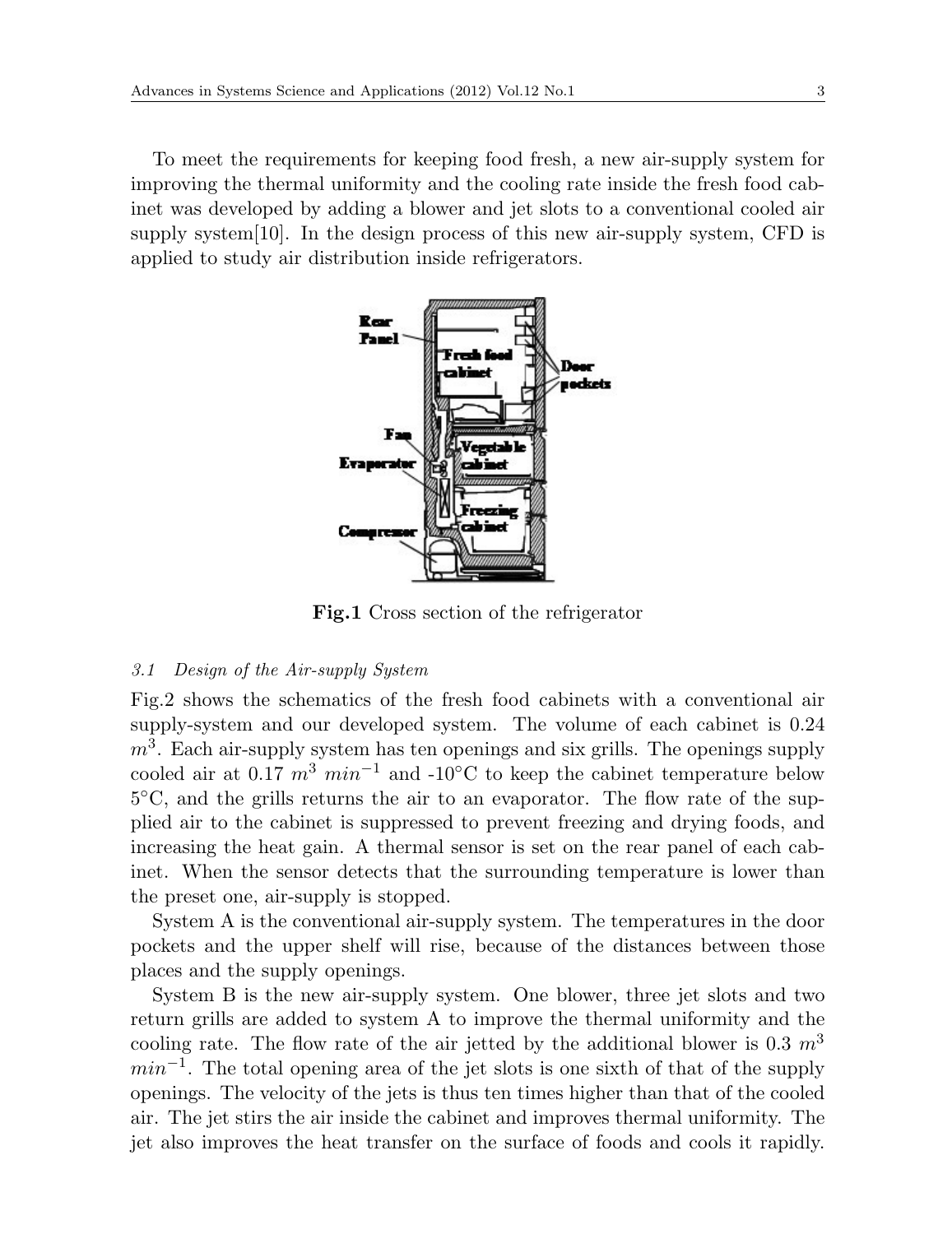To meet the requirements for keeping food fresh, a new air-supply system for improving the thermal uniformity and the cooling rate inside the fresh food cabinet was developed by adding a blower and jet slots to a conventional cooled air supply system $[10]$ . In the design process of this new air-supply system, CFD is applied to study air distribution inside refrigerators.



**Fig.1** Cross section of the refrigerator

#### *3.1 Design of the Air-supply System*

Fig.2 shows the schematics of the fresh food cabinets with a conventional air supply-system and our developed system. The volume of each cabinet is 0.24 *m*<sup>3</sup> . Each air-supply system has ten openings and six grills. The openings supply cooled air at 0.17  $m^3$   $min^{-1}$  and -10<sup>°</sup>C to keep the cabinet temperature below 5 *◦*C, and the grills returns the air to an evaporator. The flow rate of the supplied air to the cabinet is suppressed to prevent freezing and drying foods, and increasing the heat gain. A thermal sensor is set on the rear panel of each cabinet. When the sensor detects that the surrounding temperature is lower than the preset one, air-supply is stopped.

System A is the conventional air-supply system. The temperatures in the door pockets and the upper shelf will rise, because of the distances between those places and the supply openings.

System B is the new air-supply system. One blower, three jet slots and two return grills are added to system A to improve the thermal uniformity and the cooling rate. The flow rate of the air jetted by the additional blower is 0.3 *m*<sup>3</sup> *min*<sup> $-1$ </sup>. The total opening area of the jet slots is one sixth of that of the supply openings. The velocity of the jets is thus ten times higher than that of the cooled air. The jet stirs the air inside the cabinet and improves thermal uniformity. The jet also improves the heat transfer on the surface of foods and cools it rapidly.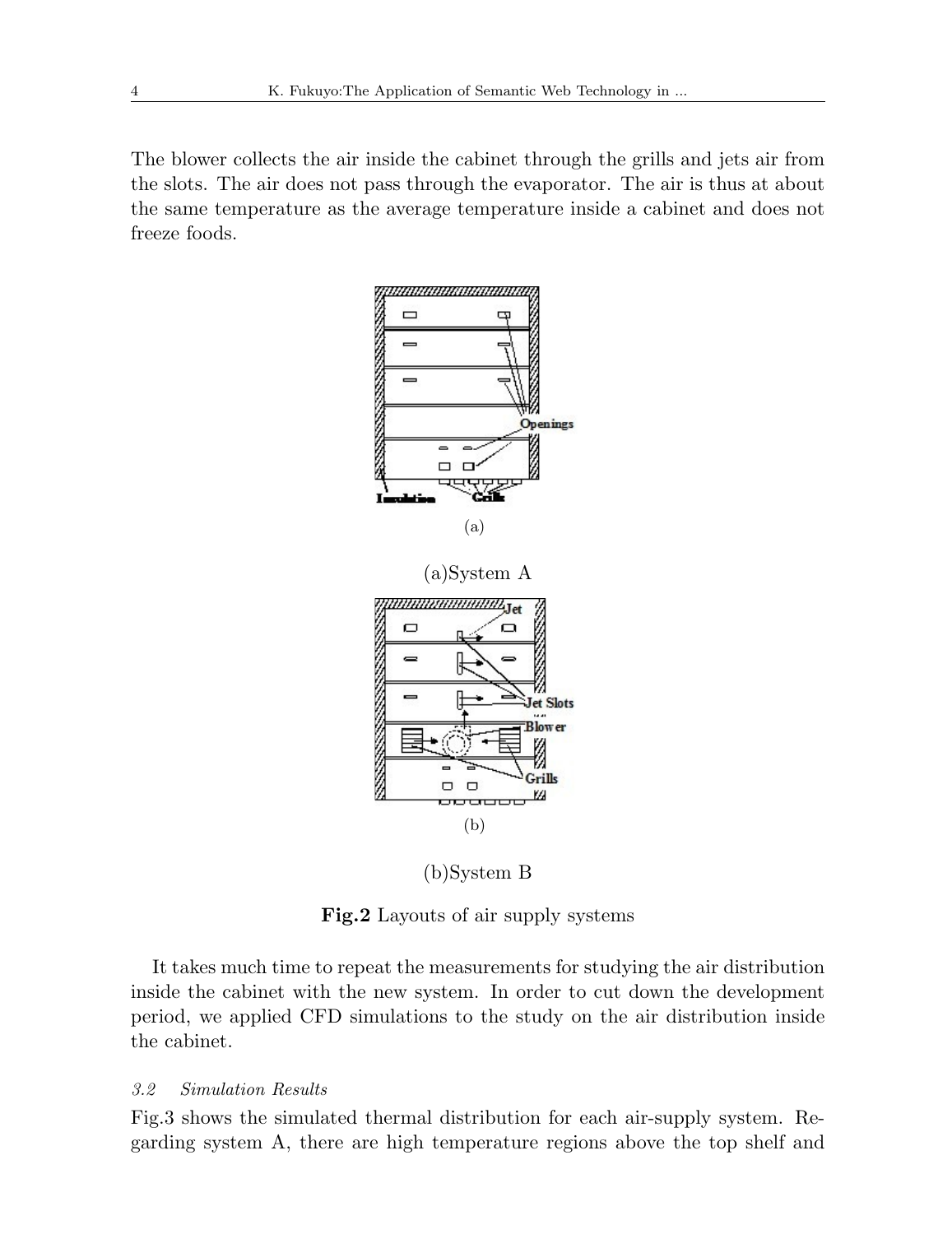The blower collects the air inside the cabinet through the grills and jets air from the slots. The air does not pass through the evaporator. The air is thus at about the same temperature as the average temperature inside a cabinet and does not freeze foods.



(b)System B

**Fig.2** Layouts of air supply systems

It takes much time to repeat the measurements for studying the air distribution inside the cabinet with the new system. In order to cut down the development period, we applied CFD simulations to the study on the air distribution inside the cabinet.

### *3.2 Simulation Results*

Fig.3 shows the simulated thermal distribution for each air-supply system. Regarding system A, there are high temperature regions above the top shelf and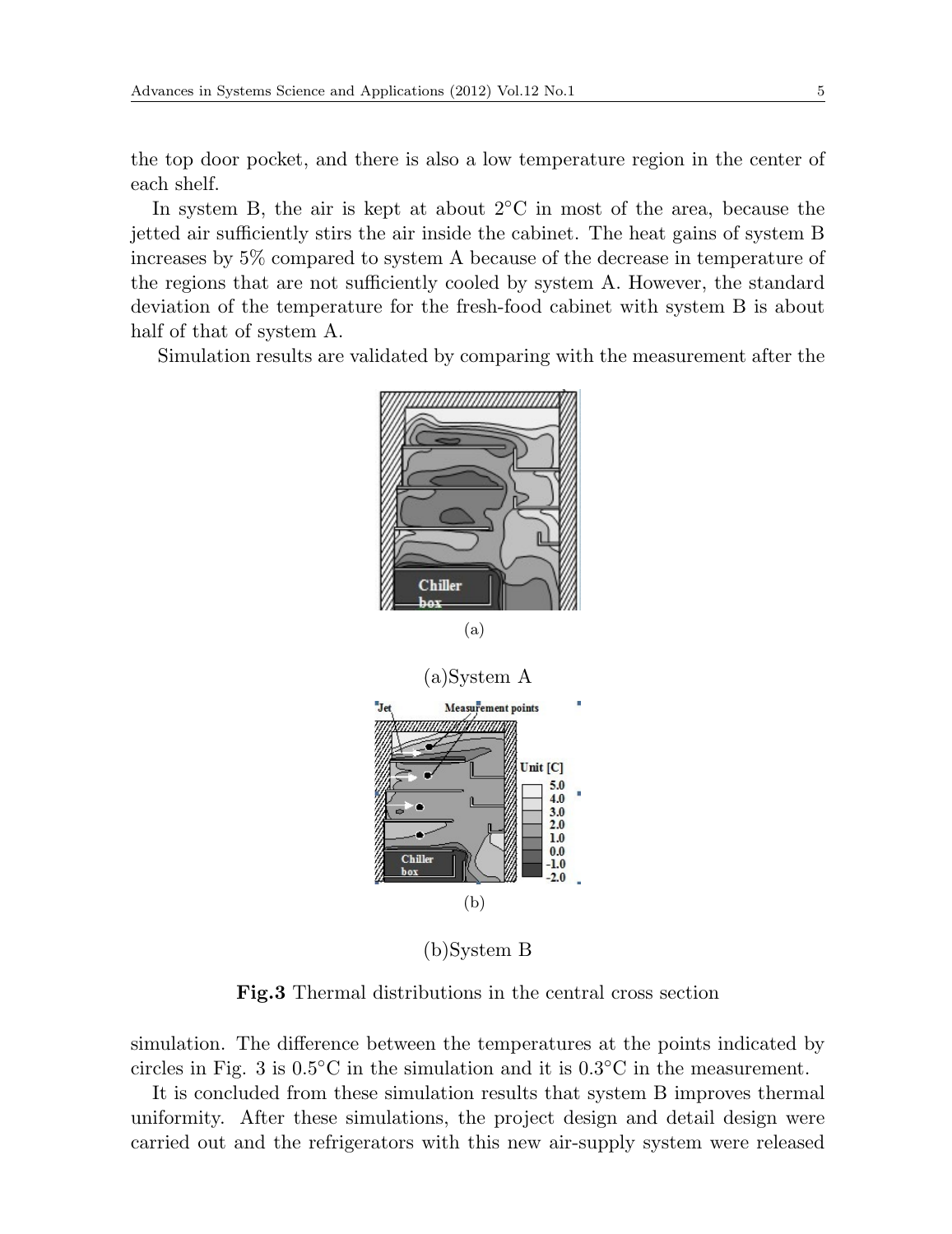the top door pocket, and there is also a low temperature region in the center of each shelf.

In system B, the air is kept at about 2*◦*C in most of the area, because the jetted air sufficiently stirs the air inside the cabinet. The heat gains of system B increases by 5% compared to system A because of the decrease in temperature of the regions that are not sufficiently cooled by system A. However, the standard deviation of the temperature for the fresh-food cabinet with system B is about half of that of system A.

Simulation results are validated by comparing with the measurement after the



(b)System B

**Fig.3** Thermal distributions in the central cross section

simulation. The difference between the temperatures at the points indicated by circles in Fig. 3 is 0.5*◦*C in the simulation and it is 0.3*◦*C in the measurement.

It is concluded from these simulation results that system B improves thermal uniformity. After these simulations, the project design and detail design were carried out and the refrigerators with this new air-supply system were released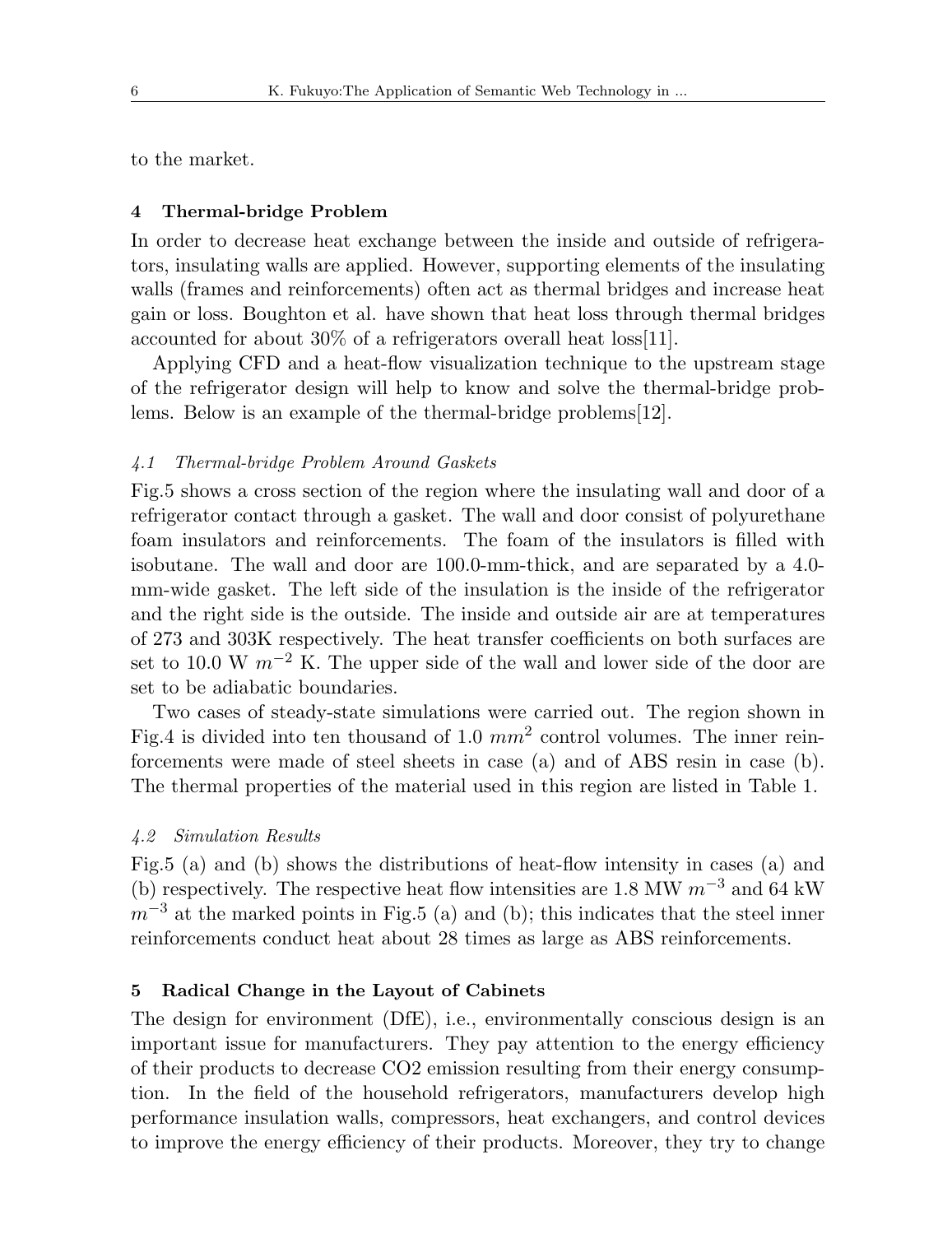to the market.

#### **4 Thermal-bridge Problem**

In order to decrease heat exchange between the inside and outside of refrigerators, insulating walls are applied. However, supporting elements of the insulating walls (frames and reinforcements) often act as thermal bridges and increase heat gain or loss. Boughton et al. have shown that heat loss through thermal bridges accounted for about 30% of a refrigerators overall heat loss[11].

Applying CFD and a heat-flow visualization technique to the upstream stage of the refrigerator design will help to know and solve the thermal-bridge problems. Below is an example of the thermal-bridge problems[12].

#### *4.1 Thermal-bridge Problem Around Gaskets*

Fig.5 shows a cross section of the region where the insulating wall and door of a refrigerator contact through a gasket. The wall and door consist of polyurethane foam insulators and reinforcements. The foam of the insulators is filled with isobutane. The wall and door are 100.0-mm-thick, and are separated by a 4.0 mm-wide gasket. The left side of the insulation is the inside of the refrigerator and the right side is the outside. The inside and outside air are at temperatures of 273 and 303K respectively. The heat transfer coefficients on both surfaces are set to 10.0 W  $m^{-2}$  K. The upper side of the wall and lower side of the door are set to be adiabatic boundaries.

Two cases of steady-state simulations were carried out. The region shown in Fig.4 is divided into ten thousand of 1.0 *mm*<sup>2</sup> control volumes. The inner reinforcements were made of steel sheets in case (a) and of ABS resin in case (b). The thermal properties of the material used in this region are listed in Table 1.

## *4.2 Simulation Results*

Fig.5 (a) and (b) shows the distributions of heat-flow intensity in cases (a) and (b) respectively. The respective heat flow intensities are 1.8 MW *m−*<sup>3</sup> and 64 kW  $m^{-3}$  at the marked points in Fig.5 (a) and (b); this indicates that the steel inner reinforcements conduct heat about 28 times as large as ABS reinforcements.

#### **5 Radical Change in the Layout of Cabinets**

The design for environment (DfE), i.e., environmentally conscious design is an important issue for manufacturers. They pay attention to the energy efficiency of their products to decrease CO2 emission resulting from their energy consumption. In the field of the household refrigerators, manufacturers develop high performance insulation walls, compressors, heat exchangers, and control devices to improve the energy efficiency of their products. Moreover, they try to change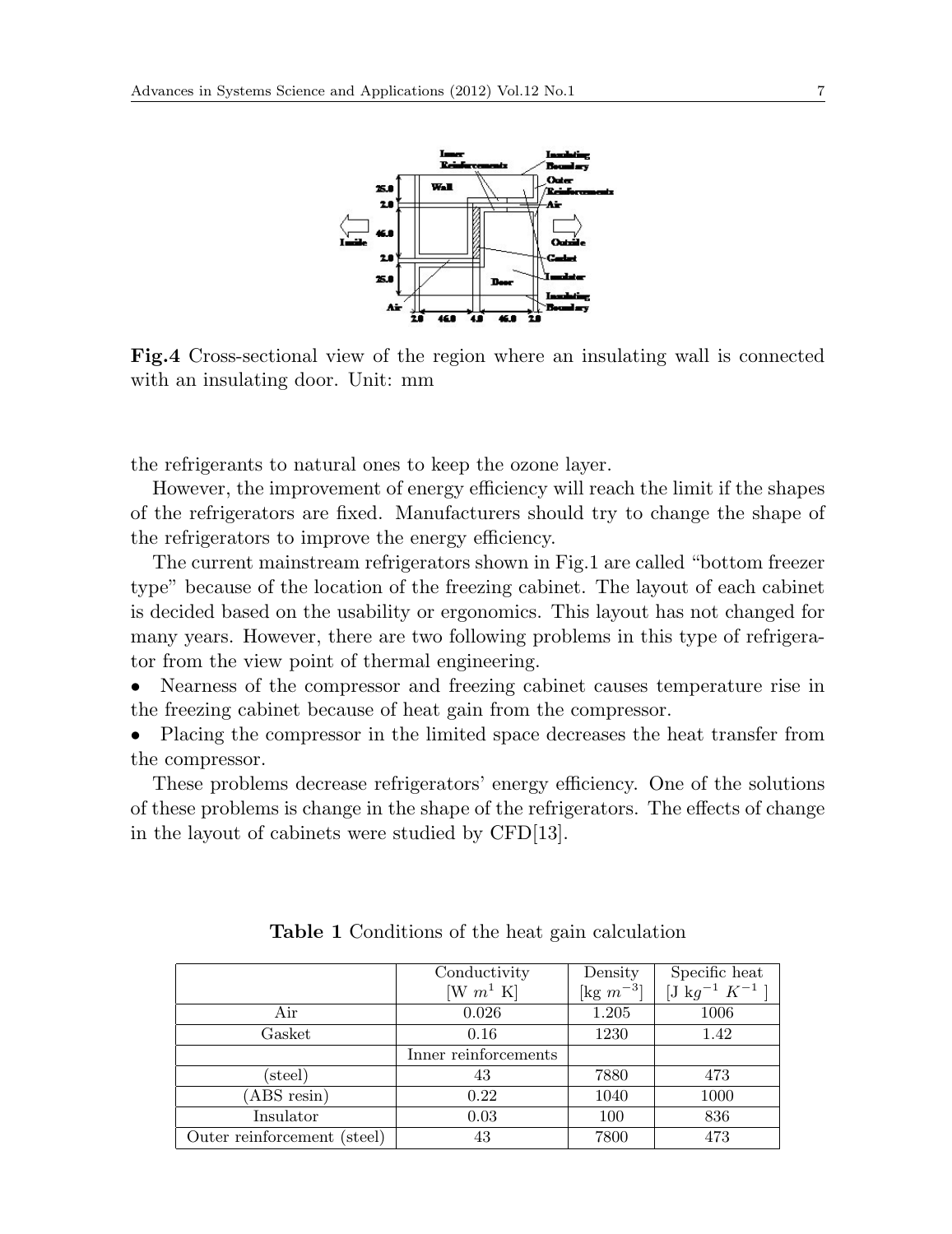

**Fig.4** Cross-sectional view of the region where an insulating wall is connected with an insulating door. Unit: mm

the refrigerants to natural ones to keep the ozone layer.

However, the improvement of energy efficiency will reach the limit if the shapes of the refrigerators are fixed. Manufacturers should try to change the shape of the refrigerators to improve the energy efficiency.

The current mainstream refrigerators shown in Fig.1 are called "bottom freezer type" because of the location of the freezing cabinet. The layout of each cabinet is decided based on the usability or ergonomics. This layout has not changed for many years. However, there are two following problems in this type of refrigerator from the view point of thermal engineering.

• Nearness of the compressor and freezing cabinet causes temperature rise in the freezing cabinet because of heat gain from the compressor.

• Placing the compressor in the limited space decreases the heat transfer from the compressor.

These problems decrease refrigerators' energy efficiency. One of the solutions of these problems is change in the shape of the refrigerators. The effects of change in the layout of cabinets were studied by CFD[13].

|                             | Conductivity                             | Density        | Specific heat        |
|-----------------------------|------------------------------------------|----------------|----------------------|
|                             | $\left[\mathrm{W}~m^1~\mathrm{K}\right]$ | [kg $m^{-3}$ ] | $[J kg^{-1} K^{-1}]$ |
| Air                         | 0.026                                    | 1.205          | 1006                 |
| Gasket                      | 0.16                                     | 1230           | 1.42                 |
|                             | Inner reinforcements                     |                |                      |
| (steel)                     | 43                                       | 7880           | 473                  |
| (ABS resin)                 | 0.22                                     | 1040           | 1000                 |
| Insulator                   | 0.03                                     | 100            | 836                  |
| Outer reinforcement (steel) | 43                                       | 7800           | 473                  |

**Table 1** Conditions of the heat gain calculation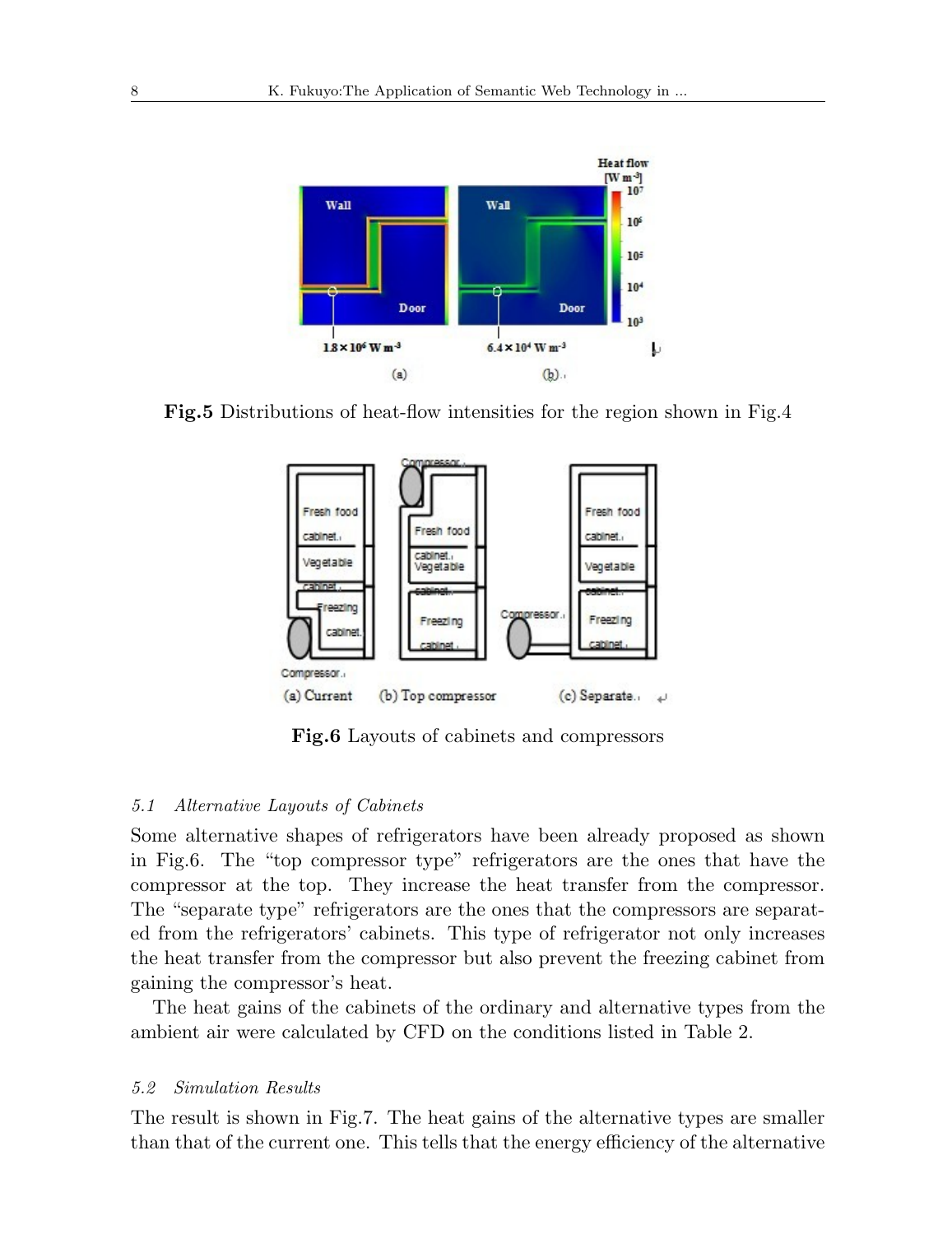

**Fig.5** Distributions of heat-flow intensities for the region shown in Fig.4



**Fig.6** Layouts of cabinets and compressors

## *5.1 Alternative Layouts of Cabinets*

Some alternative shapes of refrigerators have been already proposed as shown in Fig.6. The "top compressor type" refrigerators are the ones that have the compressor at the top. They increase the heat transfer from the compressor. The "separate type" refrigerators are the ones that the compressors are separated from the refrigerators' cabinets. This type of refrigerator not only increases the heat transfer from the compressor but also prevent the freezing cabinet from gaining the compressor's heat.

The heat gains of the cabinets of the ordinary and alternative types from the ambient air were calculated by CFD on the conditions listed in Table 2.

#### *5.2 Simulation Results*

The result is shown in Fig.7. The heat gains of the alternative types are smaller than that of the current one. This tells that the energy efficiency of the alternative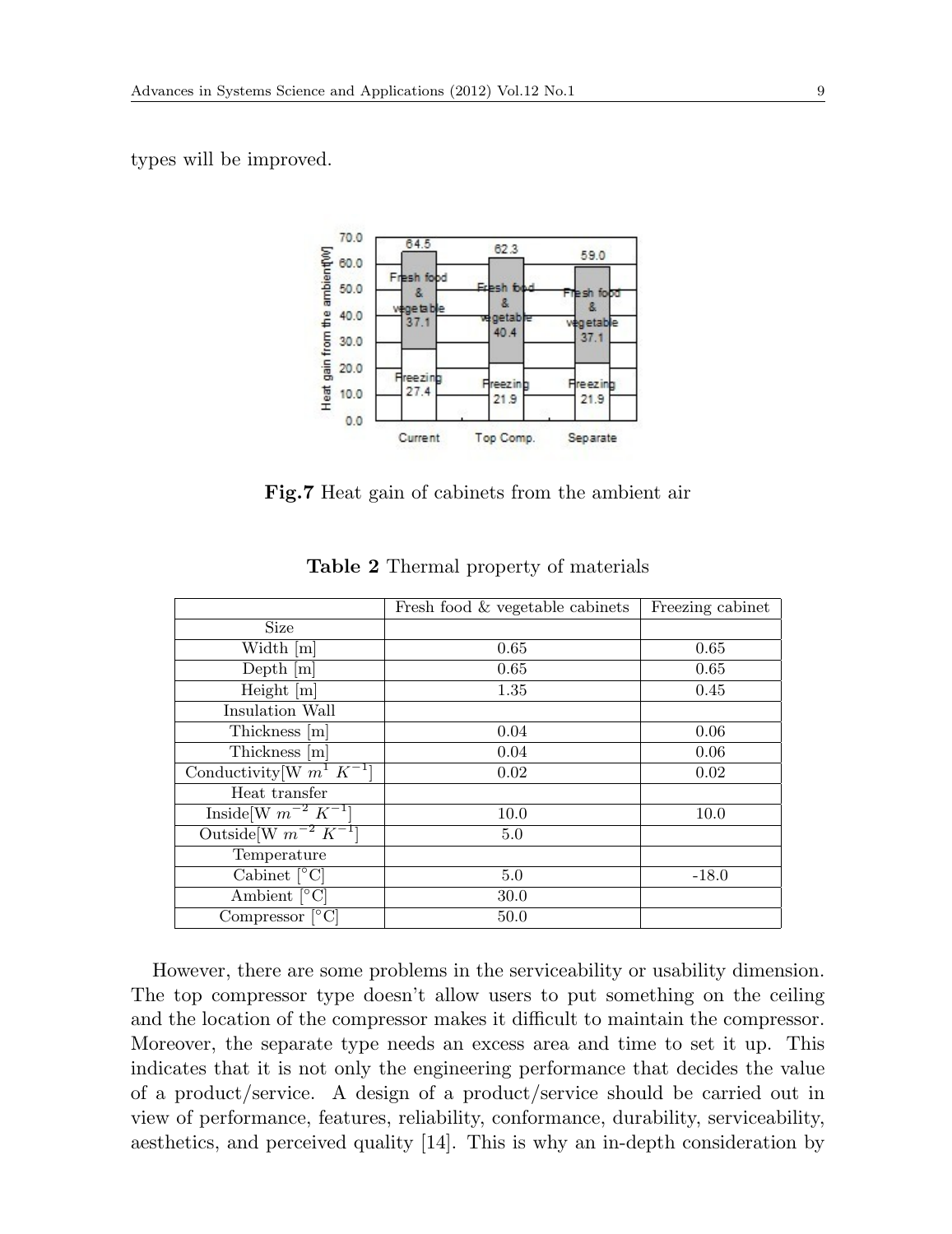types will be improved.



**Fig.7** Heat gain of cabinets from the ambient air

|                                         | Fresh food & vegetable cabinets | Freezing cabinet |
|-----------------------------------------|---------------------------------|------------------|
| <b>Size</b>                             |                                 |                  |
| Width [m]                               | 0.65                            | 0.65             |
| $Depth$ $[m]$                           | 0.65                            | 0.65             |
| Height $[m]$                            | 1.35                            | 0.45             |
| Insulation Wall                         |                                 |                  |
| Thickness [m]                           | 0.04                            | 0.06             |
| Thickness [m]                           | 0.04                            | 0.06             |
| Conductivity [W $m^1 K^{-1}$ ]          | 0.02                            | 0.02             |
| Heat transfer                           |                                 |                  |
| Inside [W $m^{-2}$ $K^{-1}$ ]           | 10.0                            | 10.0             |
| Outside [W $m^{-2} K^{-1}$ ]            | 5.0                             |                  |
| Temperature                             |                                 |                  |
| Cabinet $\lceil^{\circ} \text{C}\rceil$ | 5.0                             | $-18.0$          |
| Ambient $\lceil \, \circ \, C \rceil$   | 30.0                            |                  |
| Compressor $\lceil \circ C \rceil$      | 50.0                            |                  |

**Table 2** Thermal property of materials

However, there are some problems in the serviceability or usability dimension. The top compressor type doesn't allow users to put something on the ceiling and the location of the compressor makes it difficult to maintain the compressor. Moreover, the separate type needs an excess area and time to set it up. This indicates that it is not only the engineering performance that decides the value of a product/service. A design of a product/service should be carried out in view of performance, features, reliability, conformance, durability, serviceability, aesthetics, and perceived quality [14]. This is why an in-depth consideration by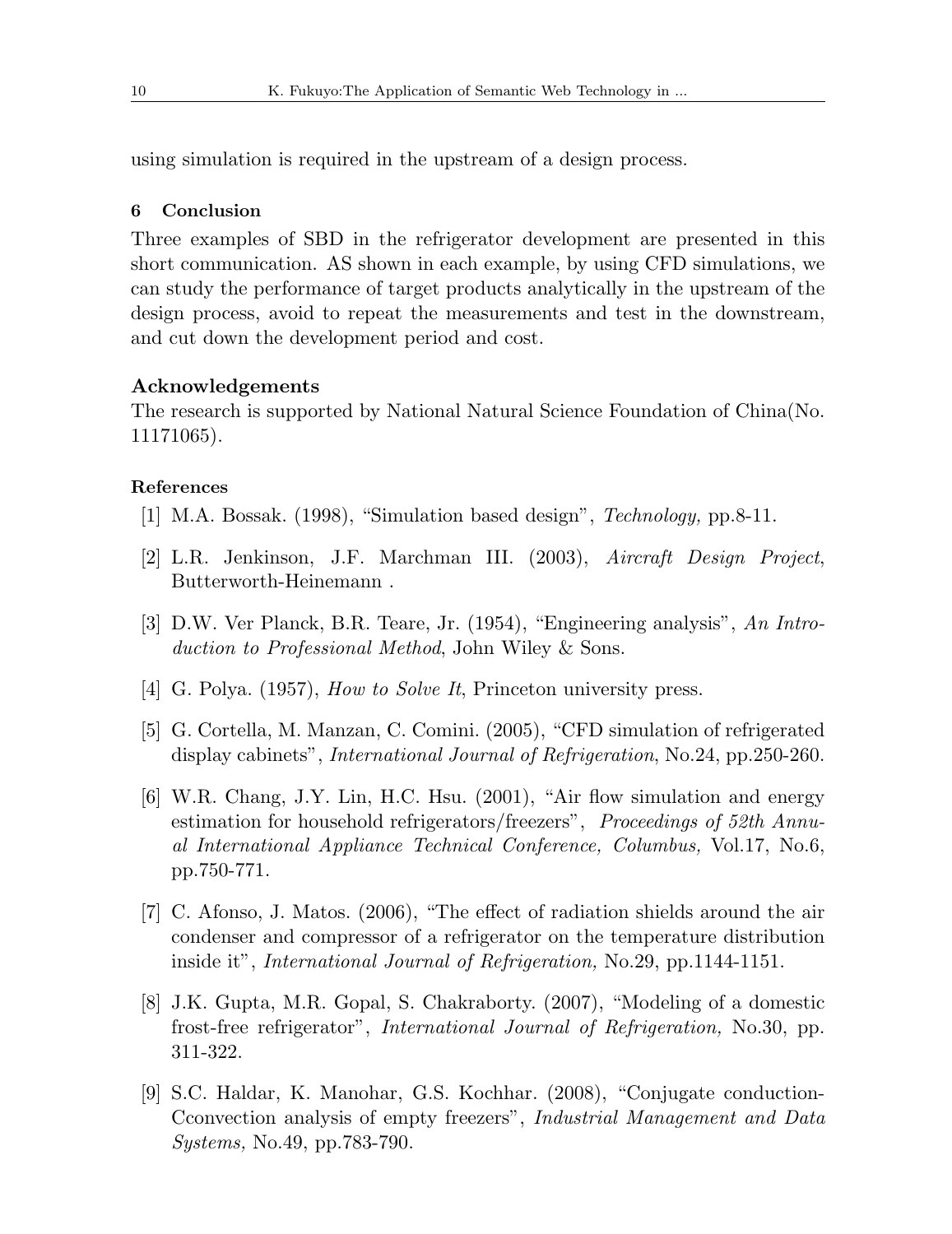using simulation is required in the upstream of a design process.

## **6 Conclusion**

Three examples of SBD in the refrigerator development are presented in this short communication. AS shown in each example, by using CFD simulations, we can study the performance of target products analytically in the upstream of the design process, avoid to repeat the measurements and test in the downstream, and cut down the development period and cost.

#### **Acknowledgements**

The research is supported by National Natural Science Foundation of China(No. 11171065).

#### **References**

- [1] M.A. Bossak. (1998), "Simulation based design", *Technology,* pp.8-11.
- [2] L.R. Jenkinson, J.F. Marchman III. (2003), *Aircraft Design Project*, Butterworth-Heinemann .
- [3] D.W. Ver Planck, B.R. Teare, Jr. (1954), "Engineering analysis", *An Introduction to Professional Method*, John Wiley & Sons.
- [4] G. Polya. (1957), *How to Solve It*, Princeton university press.
- [5] G. Cortella, M. Manzan, C. Comini. (2005), "CFD simulation of refrigerated display cabinets", *International Journal of Refrigeration*, No.24, pp.250-260.
- [6] W.R. Chang, J.Y. Lin, H.C. Hsu. (2001), "Air flow simulation and energy estimation for household refrigerators/freezers", *Proceedings of 52th Annual International Appliance Technical Conference, Columbus,* Vol.17, No.6, pp.750-771.
- [7] C. Afonso, J. Matos. (2006), "The effect of radiation shields around the air condenser and compressor of a refrigerator on the temperature distribution inside it", *International Journal of Refrigeration,* No.29, pp.1144-1151.
- [8] J.K. Gupta, M.R. Gopal, S. Chakraborty. (2007), "Modeling of a domestic frost-free refrigerator", *International Journal of Refrigeration,* No.30, pp. 311-322.
- [9] S.C. Haldar, K. Manohar, G.S. Kochhar. (2008), "Conjugate conduction-Cconvection analysis of empty freezers", *Industrial Management and Data Systems,* No.49, pp.783-790.